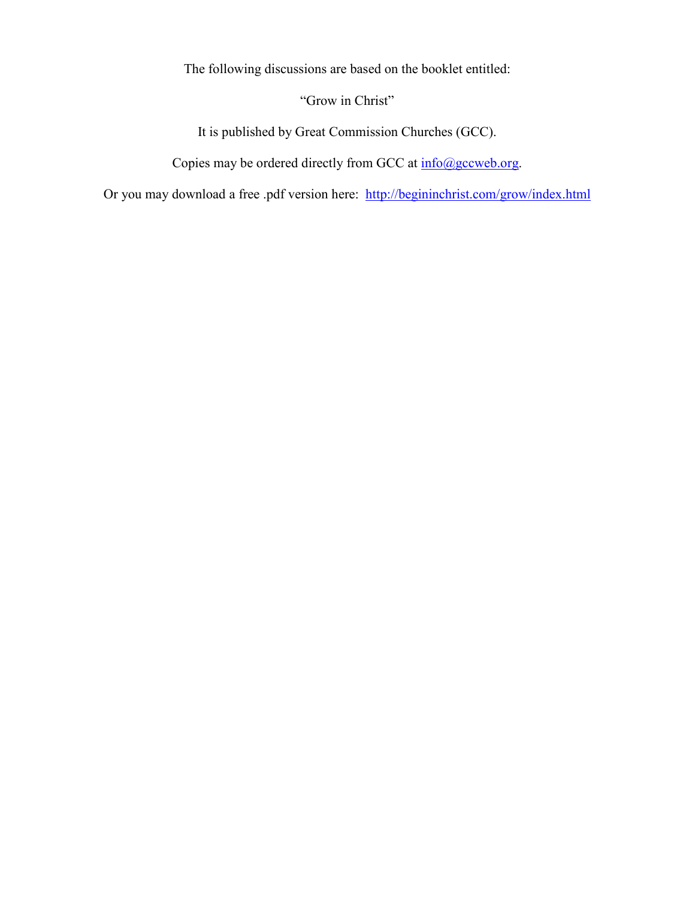The following discussions are based on the booklet entitled:

"Grow in Christ"

It is published by Great Commission Churches (GCC).

Copies may be ordered directly from GCC at  $\frac{info(\partial gccweb.org)}{info(\partial gccweb.org)}$ .

Or you may download a free .pdf version here: http://begininchrist.com/grow/index.html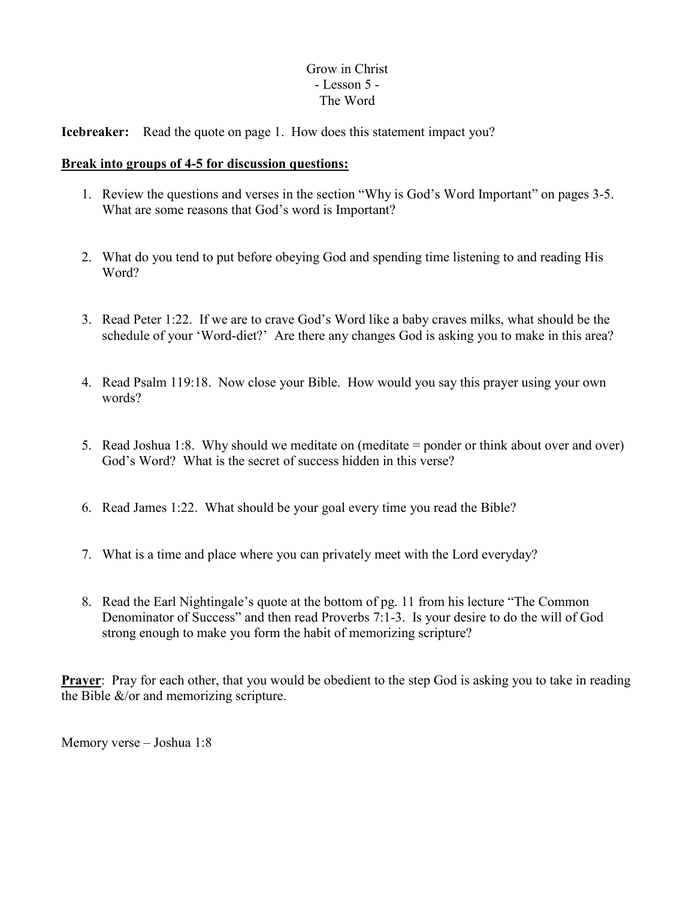# Grow in Christ - Lesson 5 - The Word

**Icebreaker:** Read the quote on page 1. How does this statement impact you?

### **Break into groups of 4-5 for discussion questions:**

- 1. Review the questions and verses in the section "Why is God's Word Important" on pages 3-5. What are some reasons that God's word is Important?
- 2. What do you tend to put before obeying God and spending time listening to and reading His Word?
- 3. Read Peter 1:22. If we are to crave God's Word like a baby craves milks, what should be the schedule of your 'Word-diet?' Are there any changes God is asking you to make in this area?
- 4. Read Psalm 119:18. Now close your Bible. How would you say this prayer using your own words?
- 5. Read Joshua 1:8. Why should we meditate on (meditate = ponder or think about over and over) God's Word? What is the secret of success hidden in this verse?
- 6. Read James 1:22. What should be your goal every time you read the Bible?
- 7. What is a time and place where you can privately meet with the Lord everyday?
- 8. Read the Earl Nightingale's quote at the bottom of pg. 11 from his lecture "The Common Denominator of Success" and then read Proverbs 7:1-3. Is your desire to do the will of God strong enough to make you form the habit of memorizing scripture?

**Prayer**: Pray for each other, that you would be obedient to the step God is asking you to take in reading the Bible  $\&$ /or and memorizing scripture.

Memory verse – Joshua 1:8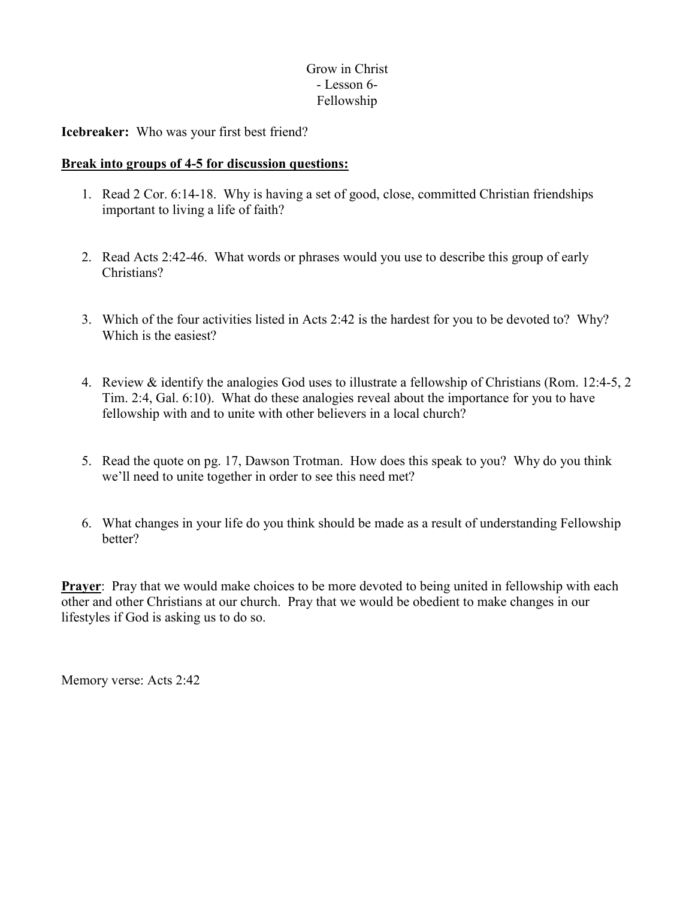## Grow in Christ - Lesson 6- Fellowship

**Icebreaker:** Who was your first best friend?

### **Break into groups of 4-5 for discussion questions:**

- 1. Read 2 Cor. 6:14-18. Why is having a set of good, close, committed Christian friendships important to living a life of faith?
- 2. Read Acts 2:42-46. What words or phrases would you use to describe this group of early Christians?
- 3. Which of the four activities listed in Acts 2:42 is the hardest for you to be devoted to? Why? Which is the easiest?
- 4. Review & identify the analogies God uses to illustrate a fellowship of Christians (Rom. 12:4-5, 2 Tim. 2:4, Gal. 6:10). What do these analogies reveal about the importance for you to have fellowship with and to unite with other believers in a local church?
- 5. Read the quote on pg. 17, Dawson Trotman. How does this speak to you? Why do you think we'll need to unite together in order to see this need met?
- 6. What changes in your life do you think should be made as a result of understanding Fellowship better?

**Prayer:** Pray that we would make choices to be more devoted to being united in fellowship with each other and other Christians at our church. Pray that we would be obedient to make changes in our lifestyles if God is asking us to do so.

Memory verse: Acts 2:42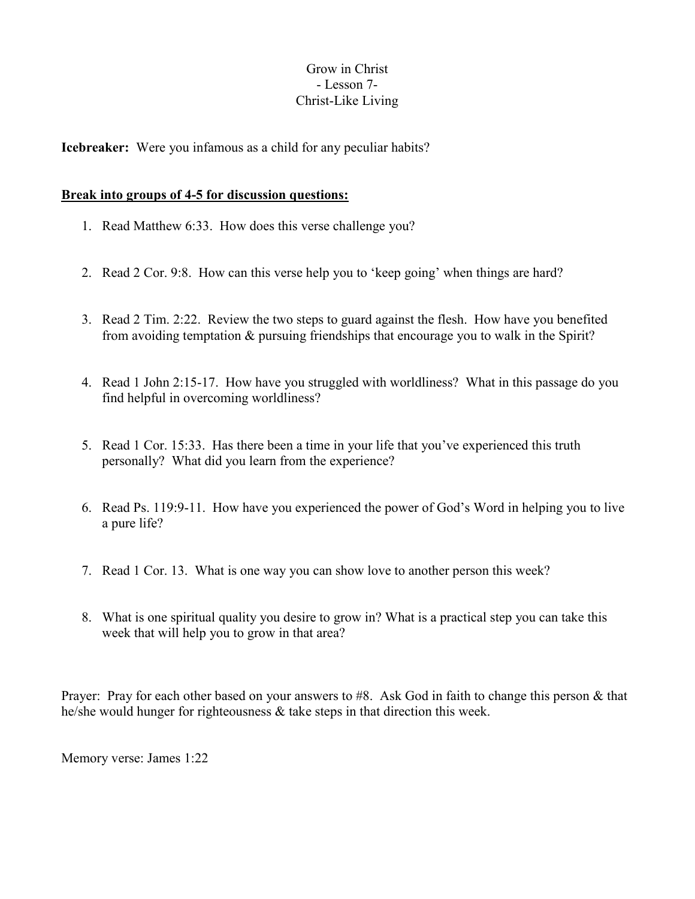## Grow in Christ - Lesson 7- Christ-Like Living

**Icebreaker:** Were you infamous as a child for any peculiar habits?

### **Break into groups of 4-5 for discussion questions:**

- 1. Read Matthew 6:33. How does this verse challenge you?
- 2. Read 2 Cor. 9:8. How can this verse help you to 'keep going' when things are hard?
- 3. Read 2 Tim. 2:22. Review the two steps to guard against the flesh. How have you benefited from avoiding temptation & pursuing friendships that encourage you to walk in the Spirit?
- 4. Read 1 John 2:15-17. How have you struggled with worldliness? What in this passage do you find helpful in overcoming worldliness?
- 5. Read 1 Cor. 15:33. Has there been a time in your life that you've experienced this truth personally? What did you learn from the experience?
- 6. Read Ps. 119:9-11. How have you experienced the power of God's Word in helping you to live a pure life?
- 7. Read 1 Cor. 13. What is one way you can show love to another person this week?
- 8. What is one spiritual quality you desire to grow in? What is a practical step you can take this week that will help you to grow in that area?

Prayer: Pray for each other based on your answers to #8. Ask God in faith to change this person & that he/she would hunger for righteousness & take steps in that direction this week.

Memory verse: James 1:22